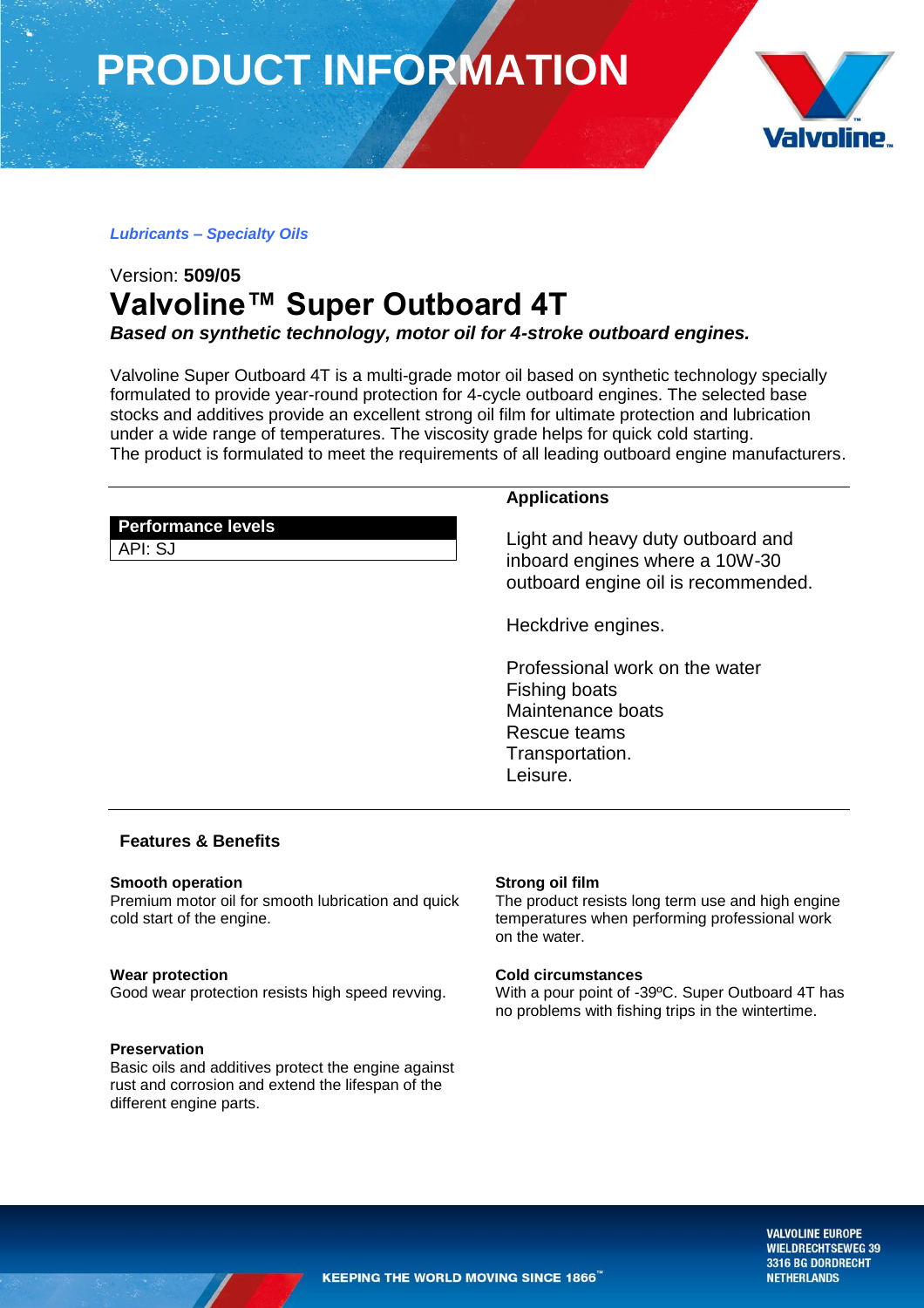**PRODUCT INFORMATION**



# *Lubricants – Specialty Oils*

# Version: **509/05 Valvoline™ Super Outboard 4T** *Based on synthetic technology, motor oil for 4-stroke outboard engines.*

Valvoline Super Outboard 4T is a multi-grade motor oil based on synthetic technology specially formulated to provide year-round protection for 4-cycle outboard engines. The selected base stocks and additives provide an excellent strong oil film for ultimate protection and lubrication under a wide range of temperatures. The viscosity grade helps for quick cold starting. The product is formulated to meet the requirements of all leading outboard engine manufacturers.

|                                      | <b>Applications</b>                                                                                        |
|--------------------------------------|------------------------------------------------------------------------------------------------------------|
| <b>Performance levels</b><br>API: SJ | Light and heavy duty outboard and<br>inboard engines where a 10W-30<br>outboard engine oil is recommended. |

Heckdrive engines.

Professional work on the water Fishing boats Maintenance boats Rescue teams Transportation. Leisure.

# **Features & Benefits**

# **Smooth operation**

Premium motor oil for smooth lubrication and quick cold start of the engine.

# **Wear protection**

Good wear protection resists high speed revving.

### **Preservation**

Basic oils and additives protect the engine against rust and corrosion and extend the lifespan of the different engine parts.

# **Strong oil film**

The product resists long term use and high engine temperatures when performing professional work on the water.

### **Cold circumstances**

With a pour point of -39ºC. Super Outboard 4T has no problems with fishing trips in the wintertime.

> **VALVOLINE EUROPE WIELDRECHTSEWEG 39** 3316 BG DORDRECHT **NETHERLANDS**